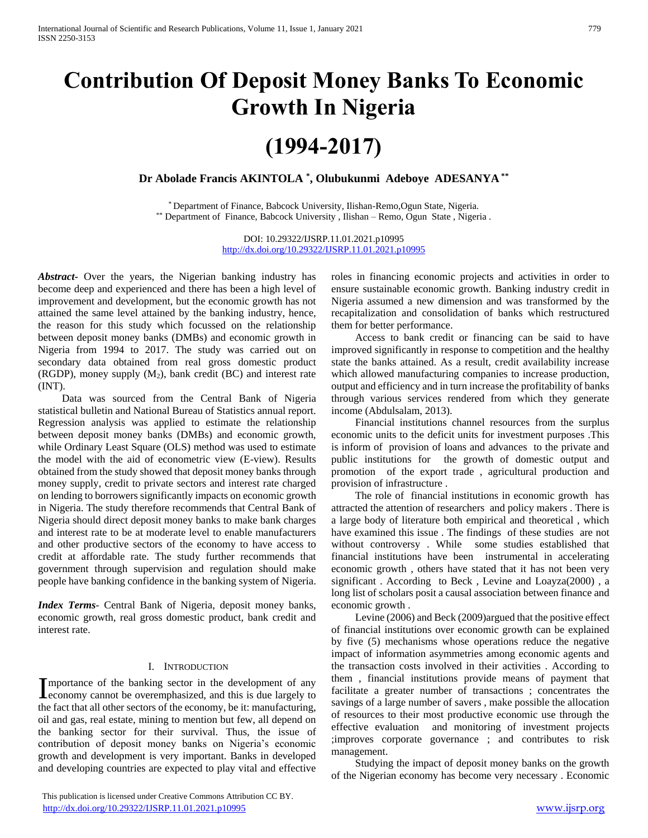# **Contribution Of Deposit Money Banks To Economic Growth In Nigeria**

# **(1994-2017)**

**Dr Abolade Francis AKINTOLA \* , Olubukunmi Adeboye ADESANYA \*\***

\* Department of Finance, Babcock University, Ilishan-Remo,Ogun State, Nigeria. \*\* Department of Finance, Babcock University, Ilishan – Remo, Ogun State, Nigeria.

> DOI: 10.29322/IJSRP.11.01.2021.p10995 <http://dx.doi.org/10.29322/IJSRP.11.01.2021.p10995>

*Abstract***-** Over the years, the Nigerian banking industry has become deep and experienced and there has been a high level of improvement and development, but the economic growth has not attained the same level attained by the banking industry, hence, the reason for this study which focussed on the relationship between deposit money banks (DMBs) and economic growth in Nigeria from 1994 to 2017. The study was carried out on secondary data obtained from real gross domestic product (RGDP), money supply  $(M_2)$ , bank credit (BC) and interest rate (INT).

 Data was sourced from the Central Bank of Nigeria statistical bulletin and National Bureau of Statistics annual report. Regression analysis was applied to estimate the relationship between deposit money banks (DMBs) and economic growth, while Ordinary Least Square (OLS) method was used to estimate the model with the aid of econometric view (E-view). Results obtained from the study showed that deposit money banks through money supply, credit to private sectors and interest rate charged on lending to borrowers significantly impacts on economic growth in Nigeria. The study therefore recommends that Central Bank of Nigeria should direct deposit money banks to make bank charges and interest rate to be at moderate level to enable manufacturers and other productive sectors of the economy to have access to credit at affordable rate. The study further recommends that government through supervision and regulation should make people have banking confidence in the banking system of Nigeria.

*Index Terms*- Central Bank of Nigeria, deposit money banks, economic growth, real gross domestic product, bank credit and interest rate.

#### I. INTRODUCTION

mportance of the banking sector in the development of any Importance of the banking sector in the development of any economy cannot be overemphasized, and this is due largely to the fact that all other sectors of the economy, be it: manufacturing, oil and gas, real estate, mining to mention but few, all depend on the banking sector for their survival. Thus, the issue of contribution of deposit money banks on Nigeria's economic growth and development is very important. Banks in developed and developing countries are expected to play vital and effective

 This publication is licensed under Creative Commons Attribution CC BY. <http://dx.doi.org/10.29322/IJSRP.11.01.2021.p10995> [www.ijsrp.org](http://ijsrp.org/)

roles in financing economic projects and activities in order to ensure sustainable economic growth. Banking industry credit in Nigeria assumed a new dimension and was transformed by the recapitalization and consolidation of banks which restructured them for better performance.

 Access to bank credit or financing can be said to have improved significantly in response to competition and the healthy state the banks attained. As a result, credit availability increase which allowed manufacturing companies to increase production. output and efficiency and in turn increase the profitability of banks through various services rendered from which they generate income (Abdulsalam, 2013).

 Financial institutions channel resources from the surplus economic units to the deficit units for investment purposes .This is inform of provision of loans and advances to the private and public institutions for the growth of domestic output and promotion of the export trade , agricultural production and provision of infrastructure .

 The role of financial institutions in economic growth has attracted the attention of researchers and policy makers . There is a large body of literature both empirical and theoretical , which have examined this issue . The findings of these studies are not without controversy . While some studies established that financial institutions have been instrumental in accelerating economic growth , others have stated that it has not been very significant . According to Beck , Levine and Loayza(2000) , a long list of scholars posit a causal association between finance and economic growth .

 Levine (2006) and Beck (2009)argued that the positive effect of financial institutions over economic growth can be explained by five (5) mechanisms whose operations reduce the negative impact of information asymmetries among economic agents and the transaction costs involved in their activities . According to them , financial institutions provide means of payment that facilitate a greater number of transactions ; concentrates the savings of a large number of savers , make possible the allocation of resources to their most productive economic use through the effective evaluation and monitoring of investment projects ;improves corporate governance ; and contributes to risk management.

 Studying the impact of deposit money banks on the growth of the Nigerian economy has become very necessary . Economic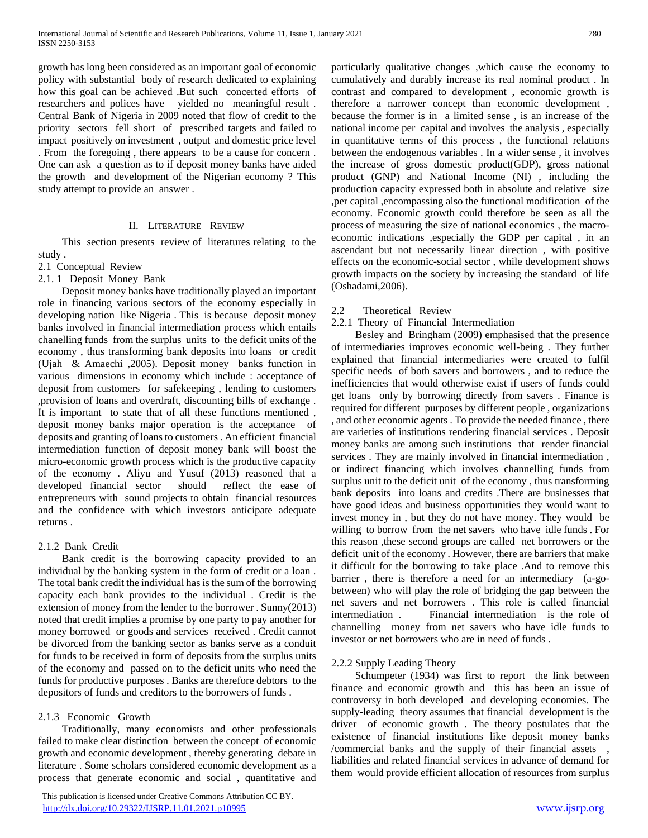growth has long been considered as an important goal of economic policy with substantial body of research dedicated to explaining how this goal can be achieved .But such concerted efforts of researchers and polices have yielded no meaningful result . Central Bank of Nigeria in 2009 noted that flow of credit to the priority sectors fell short of prescribed targets and failed to impact positively on investment , output and domestic price level . From the foregoing , there appears to be a cause for concern . One can ask a question as to if deposit money banks have aided the growth and development of the Nigerian economy ? This study attempt to provide an answer .

#### II. LITERATURE REVIEW

 This section presents review of literatures relating to the study .

# 2.1 Conceptual Review

### 2.1. 1 Deposit Money Bank

 Deposit money banks have traditionally played an important role in financing various sectors of the economy especially in developing nation like Nigeria . This is because deposit money banks involved in financial intermediation process which entails chanelling funds from the surplus units to the deficit units of the economy , thus transforming bank deposits into loans or credit (Ujah & Amaechi ,2005). Deposit money banks function in various dimensions in economy which include : acceptance of deposit from customers for safekeeping , lending to customers ,provision of loans and overdraft, discounting bills of exchange . It is important to state that of all these functions mentioned , deposit money banks major operation is the acceptance of deposits and granting of loans to customers . An efficient financial intermediation function of deposit money bank will boost the micro-economic growth process which is the productive capacity of the economy . Aliyu and Yusuf (2013) reasoned that a developed financial sector should reflect the ease of entrepreneurs with sound projects to obtain financial resources and the confidence with which investors anticipate adequate returns .

## 2.1.2 Bank Credit

 Bank credit is the borrowing capacity provided to an individual by the banking system in the form of credit or a loan . The total bank credit the individual has is the sum of the borrowing capacity each bank provides to the individual . Credit is the extension of money from the lender to the borrower . Sunny(2013) noted that credit implies a promise by one party to pay another for money borrowed or goods and services received . Credit cannot be divorced from the banking sector as banks serve as a conduit for funds to be received in form of deposits from the surplus units of the economy and passed on to the deficit units who need the funds for productive purposes . Banks are therefore debtors to the depositors of funds and creditors to the borrowers of funds .

## 2.1.3 Economic Growth

 Traditionally, many economists and other professionals failed to make clear distinction between the concept of economic growth and economic development , thereby generating debate in literature . Some scholars considered economic development as a process that generate economic and social , quantitative and

 This publication is licensed under Creative Commons Attribution CC BY. <http://dx.doi.org/10.29322/IJSRP.11.01.2021.p10995> [www.ijsrp.org](http://ijsrp.org/)

particularly qualitative changes ,which cause the economy to cumulatively and durably increase its real nominal product . In contrast and compared to development , economic growth is therefore a narrower concept than economic development , because the former is in a limited sense , is an increase of the national income per capital and involves the analysis , especially in quantitative terms of this process , the functional relations between the endogenous variables . In a wider sense , it involves the increase of gross domestic product(GDP), gross national product (GNP) and National Income (NI) , including the production capacity expressed both in absolute and relative size ,per capital ,encompassing also the functional modification of the economy. Economic growth could therefore be seen as all the process of measuring the size of national economics , the macroeconomic indications ,especially the GDP per capital , in an ascendant but not necessarily linear direction , with positive effects on the economic-social sector , while development shows growth impacts on the society by increasing the standard of life (Oshadami,2006).

## 2.2 Theoretical Review

#### 2.2.1 Theory of Financial Intermediation

 Besley and Bringham (2009) emphasised that the presence of intermediaries improves economic well-being . They further explained that financial intermediaries were created to fulfil specific needs of both savers and borrowers , and to reduce the inefficiencies that would otherwise exist if users of funds could get loans only by borrowing directly from savers . Finance is required for different purposes by different people , organizations , and other economic agents . To provide the needed finance , there are varieties of institutions rendering financial services . Deposit money banks are among such institutions that render financial services . They are mainly involved in financial intermediation , or indirect financing which involves channelling funds from surplus unit to the deficit unit of the economy , thus transforming bank deposits into loans and credits .There are businesses that have good ideas and business opportunities they would want to invest money in , but they do not have money. They would be willing to borrow from the net savers who have idle funds . For this reason ,these second groups are called net borrowers or the deficit unit of the economy . However, there are barriers that make it difficult for the borrowing to take place .And to remove this barrier , there is therefore a need for an intermediary (a-gobetween) who will play the role of bridging the gap between the net savers and net borrowers . This role is called financial intermediation . Financial intermediation is the role of channelling money from net savers who have idle funds to investor or net borrowers who are in need of funds .

## 2.2.2 Supply Leading Theory

 Schumpeter (1934) was first to report the link between finance and economic growth and this has been an issue of controversy in both developed and developing economies. The supply-leading theory assumes that financial development is the driver of economic growth . The theory postulates that the existence of financial institutions like deposit money banks /commercial banks and the supply of their financial assets , liabilities and related financial services in advance of demand for them would provide efficient allocation of resources from surplus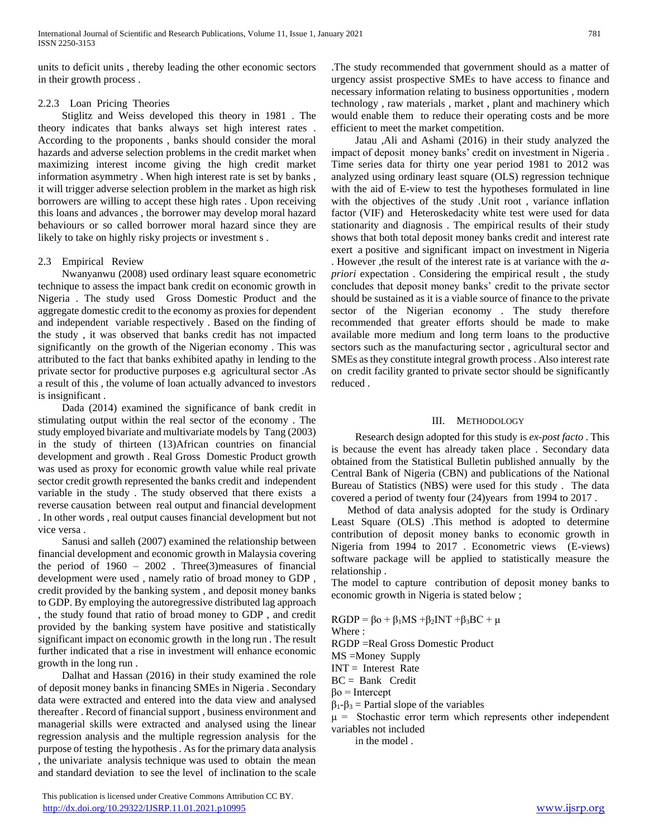units to deficit units , thereby leading the other economic sectors in their growth process .

## 2.2.3 Loan Pricing Theories

 Stiglitz and Weiss developed this theory in 1981 . The theory indicates that banks always set high interest rates . According to the proponents , banks should consider the moral hazards and adverse selection problems in the credit market when maximizing interest income giving the high credit market information asymmetry . When high interest rate is set by banks , it will trigger adverse selection problem in the market as high risk borrowers are willing to accept these high rates . Upon receiving this loans and advances , the borrower may develop moral hazard behaviours or so called borrower moral hazard since they are likely to take on highly risky projects or investment s .

# 2.3 Empirical Review

 Nwanyanwu (2008) used ordinary least square econometric technique to assess the impact bank credit on economic growth in Nigeria . The study used Gross Domestic Product and the aggregate domestic credit to the economy as proxies for dependent and independent variable respectively . Based on the finding of the study , it was observed that banks credit has not impacted significantly on the growth of the Nigerian economy . This was attributed to the fact that banks exhibited apathy in lending to the private sector for productive purposes e.g agricultural sector .As a result of this , the volume of loan actually advanced to investors is insignificant .

 Dada (2014) examined the significance of bank credit in stimulating output within the real sector of the economy . The study employed bivariate and multivariate models by Tang (2003) in the study of thirteen (13)African countries on financial development and growth . Real Gross Domestic Product growth was used as proxy for economic growth value while real private sector credit growth represented the banks credit and independent variable in the study . The study observed that there exists a reverse causation between real output and financial development . In other words , real output causes financial development but not vice versa .

 Sanusi and salleh (2007) examined the relationship between financial development and economic growth in Malaysia covering the period of  $1960 - 2002$ . Three (3) measures of financial development were used , namely ratio of broad money to GDP , credit provided by the banking system , and deposit money banks to GDP. By employing the autoregressive distributed lag approach , the study found that ratio of broad money to GDP , and credit provided by the banking system have positive and statistically significant impact on economic growth in the long run . The result further indicated that a rise in investment will enhance economic growth in the long run .

 Dalhat and Hassan (2016) in their study examined the role of deposit money banks in financing SMEs in Nigeria . Secondary data were extracted and entered into the data view and analysed thereafter . Record of financial support , business environment and managerial skills were extracted and analysed using the linear regression analysis and the multiple regression analysis for the purpose of testing the hypothesis . As for the primary data analysis , the univariate analysis technique was used to obtain the mean and standard deviation to see the level of inclination to the scale .The study recommended that government should as a matter of urgency assist prospective SMEs to have access to finance and necessary information relating to business opportunities , modern technology , raw materials , market , plant and machinery which would enable them to reduce their operating costs and be more efficient to meet the market competition.

 Jatau ,Ali and Ashami (2016) in their study analyzed the impact of deposit money banks' credit on investment in Nigeria . Time series data for thirty one year period 1981 to 2012 was analyzed using ordinary least square (OLS) regression technique with the aid of E-view to test the hypotheses formulated in line with the objectives of the study .Unit root , variance inflation factor (VIF) and Heteroskedacity white test were used for data stationarity and diagnosis . The empirical results of their study shows that both total deposit money banks credit and interest rate exert a positive and significant impact on investment in Nigeria . However ,the result of the interest rate is at variance with the *apriori* expectation . Considering the empirical result , the study concludes that deposit money banks' credit to the private sector should be sustained as it is a viable source of finance to the private sector of the Nigerian economy . The study therefore recommended that greater efforts should be made to make available more medium and long term loans to the productive sectors such as the manufacturing sector , agricultural sector and SMEs as they constitute integral growth process . Also interest rate on credit facility granted to private sector should be significantly reduced .

## III. METHODOLOGY

 Research design adopted for this study is *ex-post facto* . This is because the event has already taken place . Secondary data obtained from the Statistical Bulletin published annually by the Central Bank of Nigeria (CBN) and publications of the National Bureau of Statistics (NBS) were used for this study . The data covered a period of twenty four (24)years from 1994 to 2017 .

 Method of data analysis adopted for the study is Ordinary Least Square (OLS) .This method is adopted to determine contribution of deposit money banks to economic growth in Nigeria from 1994 to 2017 . Econometric views (E-views) software package will be applied to statistically measure the relationship .

The model to capture contribution of deposit money banks to economic growth in Nigeria is stated below ;

- $RGDP = \beta o + \beta_1 MS + \beta_2 INT + \beta_3 BC + \mu$
- Where :

RGDP =Real Gross Domestic Product

MS =Money Supply

 $INT = Interest Rate$ 

BC = Bank Credit

βo = Intercept

 $β<sub>1</sub> - β<sub>3</sub> = Partial slope of the variables$ 

 $\mu$  = Stochastic error term which represents other independent variables not included

in the model .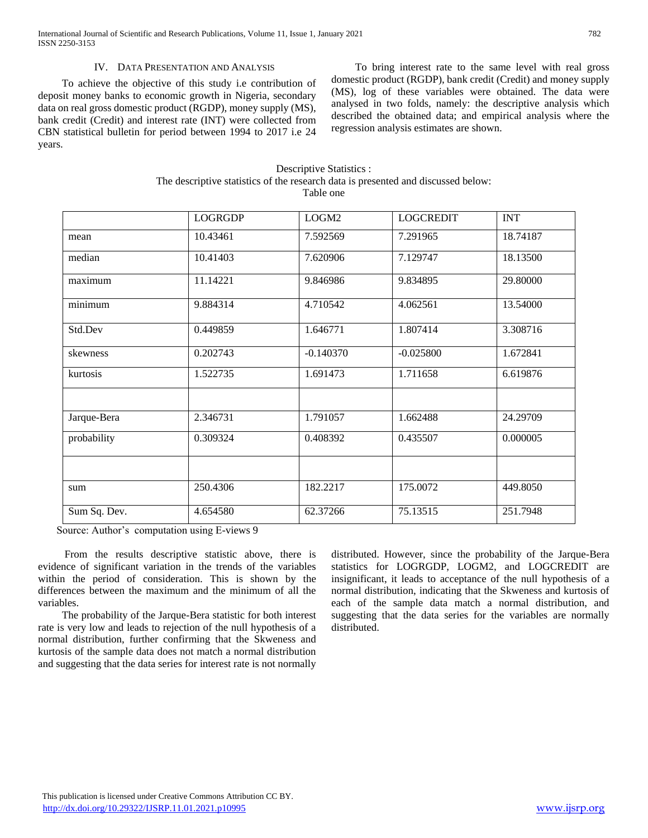International Journal of Scientific and Research Publications, Volume 11, Issue 1, January 2021 782 ISSN 2250-3153

### IV. DATA PRESENTATION AND ANALYSIS

 To achieve the objective of this study i.e contribution of deposit money banks to economic growth in Nigeria, secondary data on real gross domestic product (RGDP), money supply (MS), bank credit (Credit) and interest rate (INT) were collected from CBN statistical bulletin for period between 1994 to 2017 i.e 24 years.

 To bring interest rate to the same level with real gross domestic product (RGDP), bank credit (Credit) and money supply (MS), log of these variables were obtained. The data were analysed in two folds, namely: the descriptive analysis which described the obtained data; and empirical analysis where the regression analysis estimates are shown.

| The descriptive statistics of the research data is presented and discussed below:<br>Table one |                |                   |                  |            |  |  |
|------------------------------------------------------------------------------------------------|----------------|-------------------|------------------|------------|--|--|
|                                                                                                | <b>LOGRGDP</b> | LOGM <sub>2</sub> | <b>LOGCREDIT</b> | <b>INT</b> |  |  |
|                                                                                                | 10.43461       | 7.592569          | 7.291965         | 18.7418    |  |  |
|                                                                                                | 10.41403       | 7.620906          | 7.129747         | 18.1350    |  |  |
|                                                                                                | 11.14221       | 9.846986          | 9.834895         | 29.8000    |  |  |

Descriptive Statistics :

|              | LOGRGDP  | LOGM <sub>2</sub> | LOGCREDIT   | <b>INT</b> |
|--------------|----------|-------------------|-------------|------------|
| mean         | 10.43461 | 7.592569          | 7.291965    | 18.74187   |
| median       | 10.41403 | 7.620906          | 7.129747    | 18.13500   |
| maximum      | 11.14221 | 9.846986          | 9.834895    | 29.80000   |
| minimum      | 9.884314 | 4.710542          | 4.062561    | 13.54000   |
| Std.Dev      | 0.449859 | 1.646771          | 1.807414    | 3.308716   |
| skewness     | 0.202743 | $-0.140370$       | $-0.025800$ | 1.672841   |
| kurtosis     | 1.522735 | 1.691473          | 1.711658    | 6.619876   |
| Jarque-Bera  | 2.346731 | 1.791057          | 1.662488    | 24.29709   |
| probability  | 0.309324 | 0.408392          | 0.435507    | 0.000005   |
|              |          |                   |             |            |
| sum          | 250.4306 | 182.2217          | 175.0072    | 449.8050   |
| Sum Sq. Dev. | 4.654580 | 62.37266          | 75.13515    | 251.7948   |

Source: Author's computation using E-views 9

 From the results descriptive statistic above, there is evidence of significant variation in the trends of the variables within the period of consideration. This is shown by the differences between the maximum and the minimum of all the variables.

 The probability of the Jarque-Bera statistic for both interest rate is very low and leads to rejection of the null hypothesis of a normal distribution, further confirming that the Skweness and kurtosis of the sample data does not match a normal distribution and suggesting that the data series for interest rate is not normally

distributed. However, since the probability of the Jarque-Bera statistics for LOGRGDP, LOGM2, and LOGCREDIT are insignificant, it leads to acceptance of the null hypothesis of a normal distribution, indicating that the Skweness and kurtosis of each of the sample data match a normal distribution, and suggesting that the data series for the variables are normally distributed.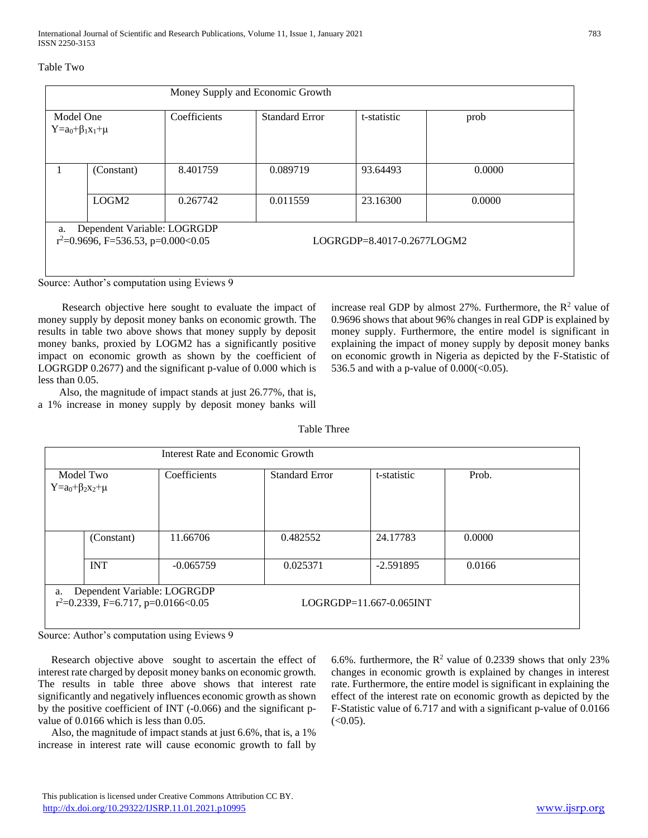## Table Two

|                                            |                                                                      |              | Money Supply and Economic Growth |                                   |        |
|--------------------------------------------|----------------------------------------------------------------------|--------------|----------------------------------|-----------------------------------|--------|
| Model One<br>$Y = a_0 + \beta_1 x_1 + \mu$ |                                                                      | Coefficients | <b>Standard Error</b>            | t-statistic                       | prob   |
| $\mathbf{I}$                               | (Constant)                                                           | 8.401759     | 0.089719                         | 93.64493                          | 0.0000 |
|                                            | LOGM <sub>2</sub>                                                    | 0.267742     | 0.011559                         | 23.16300                          | 0.0000 |
| a.                                         | Dependent Variable: LOGRGDP<br>$r^2=0.9696$ , F=536.53, p=0.000<0.05 |              |                                  | $LOGRGDP = 8.4017 - 0.2677 LOGM2$ |        |

Source: Author's computation using Eviews 9

 Research objective here sought to evaluate the impact of money supply by deposit money banks on economic growth. The results in table two above shows that money supply by deposit money banks, proxied by LOGM2 has a significantly positive impact on economic growth as shown by the coefficient of LOGRGDP 0.2677) and the significant p-value of 0.000 which is less than 0.05.

 Also, the magnitude of impact stands at just 26.77%, that is, a 1% increase in money supply by deposit money banks will increase real GDP by almost 27%. Furthermore, the  $\mathbb{R}^2$  value of 0.9696 shows that about 96% changes in real GDP is explained by money supply. Furthermore, the entire model is significant in explaining the impact of money supply by deposit money banks on economic growth in Nigeria as depicted by the F-Statistic of 536.5 and with a p-value of  $0.000 \times (0.05)$ .

|                                     | Interest Rate and Economic Growth                                    |                       |                         |        |
|-------------------------------------|----------------------------------------------------------------------|-----------------------|-------------------------|--------|
| Model Two<br>$Y=a_0+\beta_2x_2+\mu$ | Coefficients                                                         | <b>Standard Error</b> | t-statistic             | Prob.  |
| (Constant)                          | 11.66706                                                             | 0.482552              | 24.17783                | 0.0000 |
| <b>INT</b>                          | $-0.065759$                                                          | 0.025371              | $-2.591895$             | 0.0166 |
| a.                                  | Dependent Variable: LOGRGDP<br>$r^2=0.2339$ , F=6.717, p=0.0166<0.05 |                       | LOGRGDP=11.667-0.065INT |        |

Table Three

Source: Author's computation using Eviews 9

 Research objective above sought to ascertain the effect of interest rate charged by deposit money banks on economic growth. The results in table three above shows that interest rate significantly and negatively influences economic growth as shown by the positive coefficient of INT (-0.066) and the significant pvalue of 0.0166 which is less than 0.05.

 Also, the magnitude of impact stands at just 6.6%, that is, a 1% increase in interest rate will cause economic growth to fall by 6.6%. furthermore, the  $R^2$  value of 0.2339 shows that only 23% changes in economic growth is explained by changes in interest rate. Furthermore, the entire model is significant in explaining the effect of the interest rate on economic growth as depicted by the F-Statistic value of 6.717 and with a significant p-value of 0.0166  $(<0.05)$ .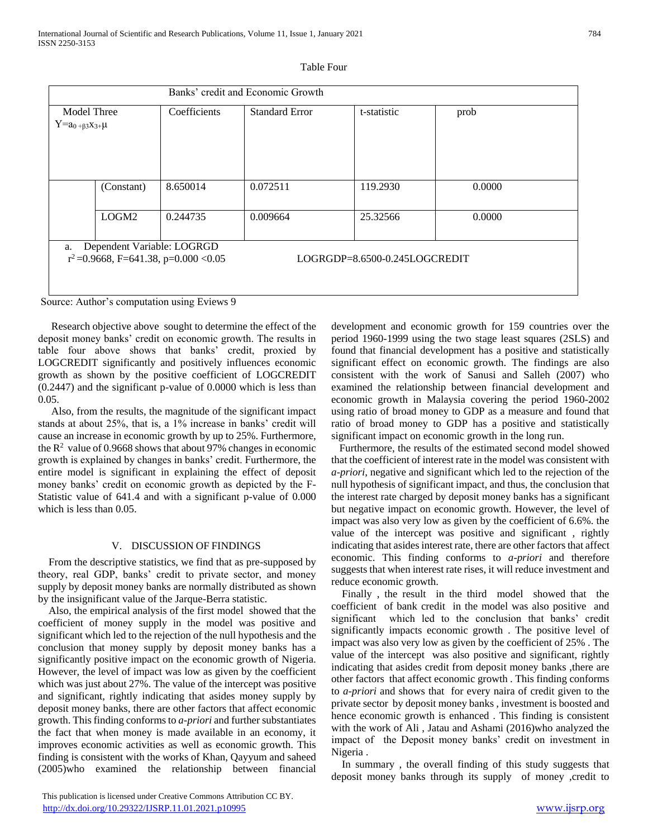| Banks' credit and Economic Growth                                                                             |                   |              |                       |             |        |
|---------------------------------------------------------------------------------------------------------------|-------------------|--------------|-----------------------|-------------|--------|
| Model Three                                                                                                   |                   | Coefficients | <b>Standard Error</b> | t-statistic | prob   |
| $Y=a_{0+\beta 3}x_{3+\mu}$                                                                                    |                   |              |                       |             |        |
|                                                                                                               | (Constant)        | 8.650014     | 0.072511              | 119.2930    | 0.0000 |
|                                                                                                               | LOGM <sub>2</sub> | 0.244735     | 0.009664              | 25.32566    | 0.0000 |
| Dependent Variable: LOGRGD<br>a.<br>$r^2 = 0.9668$ , F=641.38, p=0.000 <0.05<br>LOGRGDP=8.6500-0.245LOGCREDIT |                   |              |                       |             |        |

| Table Four |  |
|------------|--|
|------------|--|

Source: Author's computation using Eviews 9

 Research objective above sought to determine the effect of the deposit money banks' credit on economic growth. The results in table four above shows that banks' credit, proxied by LOGCREDIT significantly and positively influences economic growth as shown by the positive coefficient of LOGCREDIT (0.2447) and the significant p-value of 0.0000 which is less than 0.05.

 Also, from the results, the magnitude of the significant impact stands at about 25%, that is, a 1% increase in banks' credit will cause an increase in economic growth by up to 25%. Furthermore, the  $R<sup>2</sup>$  value of 0.9668 shows that about 97% changes in economic growth is explained by changes in banks' credit. Furthermore, the entire model is significant in explaining the effect of deposit money banks' credit on economic growth as depicted by the F-Statistic value of 641.4 and with a significant p-value of 0.000 which is less than 0.05.

#### V. DISCUSSION OF FINDINGS

 From the descriptive statistics, we find that as pre-supposed by theory, real GDP, banks' credit to private sector, and money supply by deposit money banks are normally distributed as shown by the insignificant value of the Jarque-Berra statistic.

 Also, the empirical analysis of the first model showed that the coefficient of money supply in the model was positive and significant which led to the rejection of the null hypothesis and the conclusion that money supply by deposit money banks has a significantly positive impact on the economic growth of Nigeria. However, the level of impact was low as given by the coefficient which was just about 27%. The value of the intercept was positive and significant, rightly indicating that asides money supply by deposit money banks, there are other factors that affect economic growth. This finding conforms to *a-priori* and further substantiates the fact that when money is made available in an economy, it improves economic activities as well as economic growth. This finding is consistent with the works of Khan, Qayyum and saheed (2005)who examined the relationship between financial

 This publication is licensed under Creative Commons Attribution CC BY. <http://dx.doi.org/10.29322/IJSRP.11.01.2021.p10995> [www.ijsrp.org](http://ijsrp.org/)

development and economic growth for 159 countries over the period 1960-1999 using the two stage least squares (2SLS) and found that financial development has a positive and statistically significant effect on economic growth. The findings are also consistent with the work of Sanusi and Salleh (2007) who examined the relationship between financial development and economic growth in Malaysia covering the period 1960-2002 using ratio of broad money to GDP as a measure and found that ratio of broad money to GDP has a positive and statistically significant impact on economic growth in the long run.

 Furthermore, the results of the estimated second model showed that the coefficient of interest rate in the model was consistent with *a-priori*, negative and significant which led to the rejection of the null hypothesis of significant impact, and thus, the conclusion that the interest rate charged by deposit money banks has a significant but negative impact on economic growth. However, the level of impact was also very low as given by the coefficient of 6.6%. the value of the intercept was positive and significant , rightly indicating that asides interest rate, there are other factors that affect economic. This finding conforms to *a-priori* and therefore suggests that when interest rate rises, it will reduce investment and reduce economic growth.

 Finally , the result in the third model showed that the coefficient of bank credit in the model was also positive and significant which led to the conclusion that banks' credit significantly impacts economic growth . The positive level of impact was also very low as given by the coefficient of 25% . The value of the intercept was also positive and significant, rightly indicating that asides credit from deposit money banks ,there are other factors that affect economic growth . This finding conforms to *a-priori* and shows that for every naira of credit given to the private sector by deposit money banks , investment is boosted and hence economic growth is enhanced . This finding is consistent with the work of Ali , Jatau and Ashami (2016)who analyzed the impact of the Deposit money banks' credit on investment in Nigeria .

 In summary , the overall finding of this study suggests that deposit money banks through its supply of money , credit to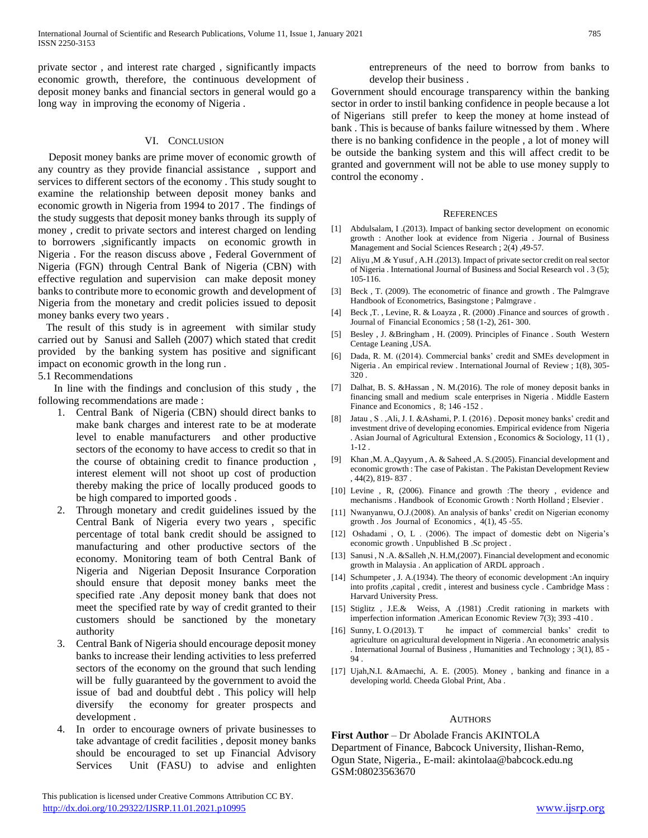private sector , and interest rate charged , significantly impacts economic growth, therefore, the continuous development of deposit money banks and financial sectors in general would go a long way in improving the economy of Nigeria .

#### VI. CONCLUSION

 Deposit money banks are prime mover of economic growth of any country as they provide financial assistance , support and services to different sectors of the economy . This study sought to examine the relationship between deposit money banks and economic growth in Nigeria from 1994 to 2017 . The findings of the study suggests that deposit money banks through its supply of money , credit to private sectors and interest charged on lending to borrowers ,significantly impacts on economic growth in Nigeria . For the reason discuss above , Federal Government of Nigeria (FGN) through Central Bank of Nigeria (CBN) with effective regulation and supervision can make deposit money banks to contribute more to economic growth and development of Nigeria from the monetary and credit policies issued to deposit money banks every two years .

 The result of this study is in agreement with similar study carried out by Sanusi and Salleh (2007) which stated that credit provided by the banking system has positive and significant impact on economic growth in the long run .

5.1 Recommendations

 In line with the findings and conclusion of this study , the following recommendations are made :

- 1. Central Bank of Nigeria (CBN) should direct banks to make bank charges and interest rate to be at moderate level to enable manufacturers and other productive sectors of the economy to have access to credit so that in the course of obtaining credit to finance production , interest element will not shoot up cost of production thereby making the price of locally produced goods to be high compared to imported goods .
- 2. Through monetary and credit guidelines issued by the Central Bank of Nigeria every two years , specific percentage of total bank credit should be assigned to manufacturing and other productive sectors of the economy. Monitoring team of both Central Bank of Nigeria and Nigerian Deposit Insurance Corporation should ensure that deposit money banks meet the specified rate .Any deposit money bank that does not meet the specified rate by way of credit granted to their customers should be sanctioned by the monetary authority
- 3. Central Bank of Nigeria should encourage deposit money banks to increase their lending activities to less preferred sectors of the economy on the ground that such lending will be fully guaranteed by the government to avoid the issue of bad and doubtful debt . This policy will help diversify the economy for greater prospects and development .
- In order to encourage owners of private businesses to take advantage of credit facilities , deposit money banks should be encouraged to set up Financial Advisory Services Unit (FASU) to advise and enlighten

 This publication is licensed under Creative Commons Attribution CC BY. <http://dx.doi.org/10.29322/IJSRP.11.01.2021.p10995> [www.ijsrp.org](http://ijsrp.org/)

entrepreneurs of the need to borrow from banks to develop their business .

Government should encourage transparency within the banking sector in order to instil banking confidence in people because a lot of Nigerians still prefer to keep the money at home instead of bank . This is because of banks failure witnessed by them . Where there is no banking confidence in the people , a lot of money will be outside the banking system and this will affect credit to be granted and government will not be able to use money supply to control the economy .

#### **REFERENCES**

- [1] Abdulsalam, I .(2013). Impact of banking sector development on economic growth : Another look at evidence from Nigeria . Journal of Business Management and Social Sciences Research ; 2(4) ,49-57.
- [2] Aliyu ,M .& Yusuf , A.H .(2013). Impact of private sector credit on real sector of Nigeria . International Journal of Business and Social Research vol . 3 (5); 105-116.
- [3] Beck, T. (2009). The econometric of finance and growth. The Palmgrave Handbook of Econometrics, Basingstone ; Palmgrave .
- [4] Beck, T., Levine, R. & Loayza, R. (2000) . Finance and sources of growth. Journal of Financial Economics ; 58 (1-2), 261- 300.
- [5] Besley , J. &Bringham , H. (2009). Principles of Finance . South Western Centage Leaning ,USA.
- [6] Dada, R. M. ((2014). Commercial banks' credit and SMEs development in Nigeria . An empirical review . International Journal of Review ; 1(8), 305- 320 .
- [7] Dalhat, B. S. &Hassan , N. M.(2016). The role of money deposit banks in financing small and medium scale enterprises in Nigeria . Middle Eastern Finance and Economics , 8; 146 -152 .
- [8] Jatau , S . ,Ali, J. I. &Ashami, P. I. (2016) . Deposit money banks' credit and investment drive of developing economies. Empirical evidence from Nigeria . Asian Journal of Agricultural Extension , Economics & Sociology, 11 (1) , 1-12 .
- [9] Khan ,M. A.,Qayyum , A. & Saheed ,A. S.(2005). Financial development and economic growth : The case of Pakistan . The Pakistan Development Review , 44(2), 819- 837 .
- [10] Levine , R, (2006). Finance and growth :The theory , evidence and mechanisms . Handbook of Economic Growth : North Holland ; Elsevier .
- [11] Nwanyanwu, O.J.(2008). An analysis of banks' credit on Nigerian economy growth . Jos Journal of Economics , 4(1), 45 -55.
- [12] Oshadami, O, L. (2006). The impact of domestic debt on Nigeria's economic growth . Unpublished B .Sc project .
- [13] Sanusi , N .A. &Salleh ,N. H.M,(2007). Financial development and economic growth in Malaysia . An application of ARDL approach .
- [14] Schumpeter , J. A.(1934). The theory of economic development :An inquiry into profits ,capital , credit , interest and business cycle . Cambridge Mass : Harvard University Press.
- [15] Stiglitz , J.E.& Weiss, A .(1981) .Credit rationing in markets with imperfection information .American Economic Review 7(3); 393 -410 .
- [16] Sunny, I. O.(2013). T he impact of commercial banks' credit to agriculture on agricultural development in Nigeria . An econometric analysis . International Journal of Business , Humanities and Technology ; 3(1), 85 - 94 .
- [17] Ujah,N.I. &Amaechi, A. E. (2005). Money , banking and finance in a developing world. Cheeda Global Print, Aba .

#### **AUTHORS**

**First Author** – Dr Abolade Francis AKINTOLA Department of Finance, Babcock University, Ilishan-Remo, Ogun State, Nigeria., E-mail: akintolaa@babcock.edu.ng GSM:08023563670